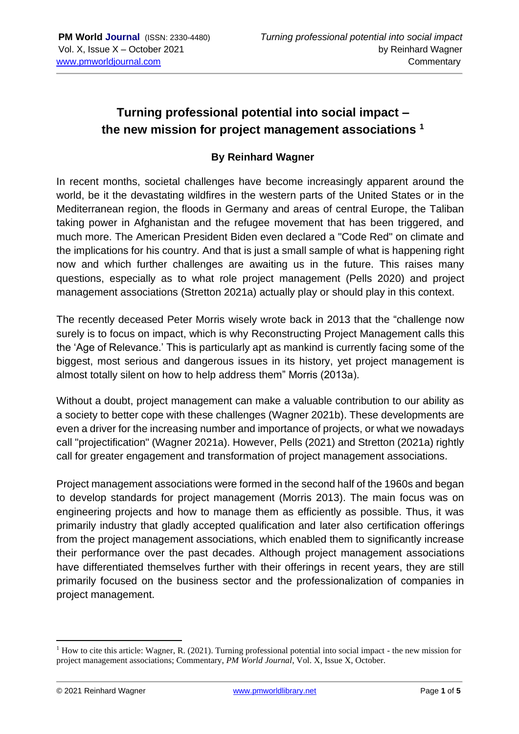## **Turning professional potential into social impact – the new mission for project management associations <sup>1</sup>**

## **By Reinhard Wagner**

In recent months, societal challenges have become increasingly apparent around the world, be it the devastating wildfires in the western parts of the United States or in the Mediterranean region, the floods in Germany and areas of central Europe, the Taliban taking power in Afghanistan and the refugee movement that has been triggered, and much more. The American President Biden even declared a "Code Red" on climate and the implications for his country. And that is just a small sample of what is happening right now and which further challenges are awaiting us in the future. This raises many questions, especially as to what role project management (Pells 2020) and project management associations (Stretton 2021a) actually play or should play in this context.

The recently deceased Peter Morris wisely wrote back in 2013 that the "challenge now surely is to focus on impact, which is why Reconstructing Project Management calls this the 'Age of Relevance.' This is particularly apt as mankind is currently facing some of the biggest, most serious and dangerous issues in its history, yet project management is almost totally silent on how to help address them" Morris (2013a).

Without a doubt, project management can make a valuable contribution to our ability as a society to better cope with these challenges (Wagner 2021b). These developments are even a driver for the increasing number and importance of projects, or what we nowadays call "projectification" (Wagner 2021a). However, Pells (2021) and Stretton (2021a) rightly call for greater engagement and transformation of project management associations.

Project management associations were formed in the second half of the 1960s and began to develop standards for project management (Morris 2013). The main focus was on engineering projects and how to manage them as efficiently as possible. Thus, it was primarily industry that gladly accepted qualification and later also certification offerings from the project management associations, which enabled them to significantly increase their performance over the past decades. Although project management associations have differentiated themselves further with their offerings in recent years, they are still primarily focused on the business sector and the professionalization of companies in project management.

 $<sup>1</sup>$  How to cite this article: Wagner, R. (2021). Turning professional potential into social impact - the new mission for</sup> project management associations; Commentary, *PM World Journal*, Vol. X, Issue X, October.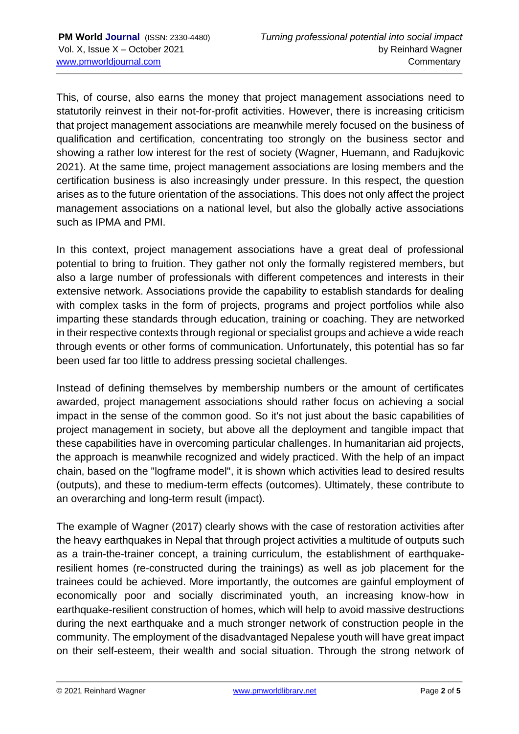This, of course, also earns the money that project management associations need to statutorily reinvest in their not-for-profit activities. However, there is increasing criticism that project management associations are meanwhile merely focused on the business of qualification and certification, concentrating too strongly on the business sector and showing a rather low interest for the rest of society (Wagner, Huemann, and Radujkovic 2021). At the same time, project management associations are losing members and the certification business is also increasingly under pressure. In this respect, the question arises as to the future orientation of the associations. This does not only affect the project management associations on a national level, but also the globally active associations such as IPMA and PMI.

In this context, project management associations have a great deal of professional potential to bring to fruition. They gather not only the formally registered members, but also a large number of professionals with different competences and interests in their extensive network. Associations provide the capability to establish standards for dealing with complex tasks in the form of projects, programs and project portfolios while also imparting these standards through education, training or coaching. They are networked in their respective contexts through regional or specialist groups and achieve a wide reach through events or other forms of communication. Unfortunately, this potential has so far been used far too little to address pressing societal challenges.

Instead of defining themselves by membership numbers or the amount of certificates awarded, project management associations should rather focus on achieving a social impact in the sense of the common good. So it's not just about the basic capabilities of project management in society, but above all the deployment and tangible impact that these capabilities have in overcoming particular challenges. In humanitarian aid projects, the approach is meanwhile recognized and widely practiced. With the help of an impact chain, based on the "logframe model", it is shown which activities lead to desired results (outputs), and these to medium-term effects (outcomes). Ultimately, these contribute to an overarching and long-term result (impact).

The example of Wagner (2017) clearly shows with the case of restoration activities after the heavy earthquakes in Nepal that through project activities a multitude of outputs such as a train-the-trainer concept, a training curriculum, the establishment of earthquakeresilient homes (re-constructed during the trainings) as well as job placement for the trainees could be achieved. More importantly, the outcomes are gainful employment of economically poor and socially discriminated youth, an increasing know-how in earthquake-resilient construction of homes, which will help to avoid massive destructions during the next earthquake and a much stronger network of construction people in the community. The employment of the disadvantaged Nepalese youth will have great impact on their self-esteem, their wealth and social situation. Through the strong network of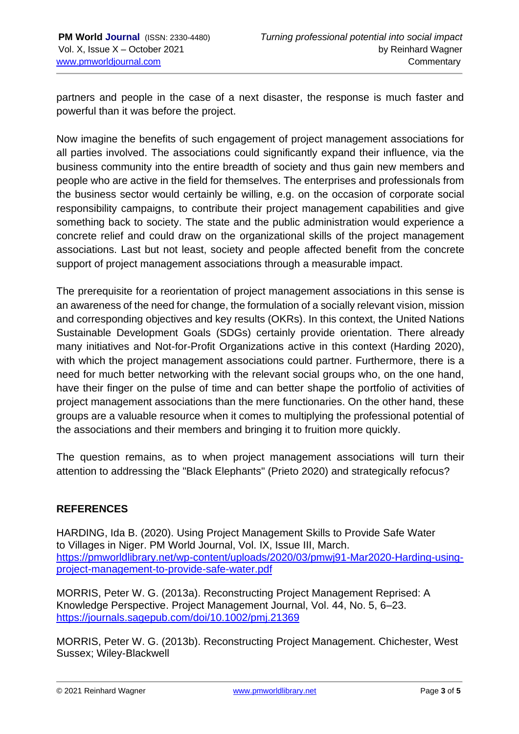partners and people in the case of a next disaster, the response is much faster and powerful than it was before the project.

Now imagine the benefits of such engagement of project management associations for all parties involved. The associations could significantly expand their influence, via the business community into the entire breadth of society and thus gain new members and people who are active in the field for themselves. The enterprises and professionals from the business sector would certainly be willing, e.g. on the occasion of corporate social responsibility campaigns, to contribute their project management capabilities and give something back to society. The state and the public administration would experience a concrete relief and could draw on the organizational skills of the project management associations. Last but not least, society and people affected benefit from the concrete support of project management associations through a measurable impact.

The prerequisite for a reorientation of project management associations in this sense is an awareness of the need for change, the formulation of a socially relevant vision, mission and corresponding objectives and key results (OKRs). In this context, the United Nations Sustainable Development Goals (SDGs) certainly provide orientation. There already many initiatives and Not-for-Profit Organizations active in this context (Harding 2020), with which the project management associations could partner. Furthermore, there is a need for much better networking with the relevant social groups who, on the one hand, have their finger on the pulse of time and can better shape the portfolio of activities of project management associations than the mere functionaries. On the other hand, these groups are a valuable resource when it comes to multiplying the professional potential of the associations and their members and bringing it to fruition more quickly.

The question remains, as to when project management associations will turn their attention to addressing the "Black Elephants" (Prieto 2020) and strategically refocus?

## **REFERENCES**

HARDING, Ida B. (2020). Using Project Management Skills to Provide Safe Water to Villages in Niger. PM World Journal, Vol. IX, Issue III, March. [https://pmworldlibrary.net/wp-content/uploads/2020/03/pmwj91-Mar2020-Harding-using](https://pmworldlibrary.net/wp-content/uploads/2020/03/pmwj91-Mar2020-Harding-using-project-management-to-provide-safe-water.pdf)[project-management-to-provide-safe-water.pdf](https://pmworldlibrary.net/wp-content/uploads/2020/03/pmwj91-Mar2020-Harding-using-project-management-to-provide-safe-water.pdf)

MORRIS, Peter W. G. (2013a). Reconstructing Project Management Reprised: A Knowledge Perspective. Project Management Journal, Vol. 44, No. 5, 6–23. <https://journals.sagepub.com/doi/10.1002/pmj.21369>

MORRIS, Peter W. G. (2013b). Reconstructing Project Management. Chichester, West Sussex; Wiley-Blackwell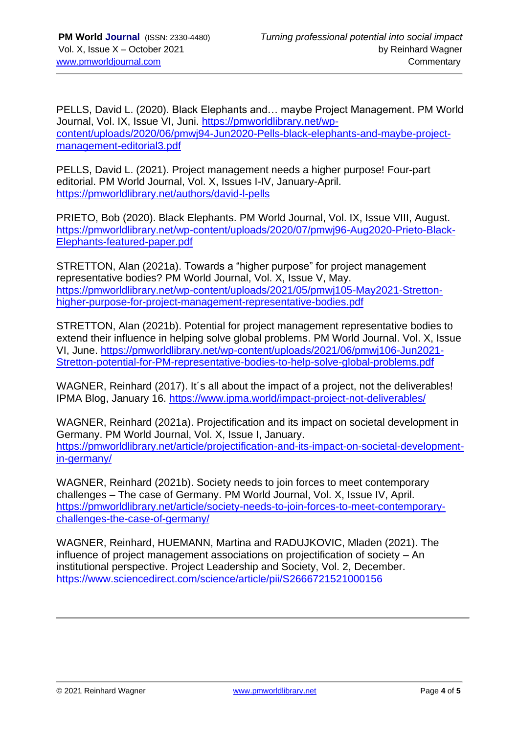PELLS, David L. (2020). Black Elephants and… maybe Project Management. PM World Journal, Vol. IX, Issue VI, Juni. [https://pmworldlibrary.net/wp](https://pmworldlibrary.net/wp-content/uploads/2020/06/pmwj94-Jun2020-Pells-black-elephants-and-maybe-project-management-editorial3.pdf)[content/uploads/2020/06/pmwj94-Jun2020-Pells-black-elephants-and-maybe-project](https://pmworldlibrary.net/wp-content/uploads/2020/06/pmwj94-Jun2020-Pells-black-elephants-and-maybe-project-management-editorial3.pdf)[management-editorial3.pdf](https://pmworldlibrary.net/wp-content/uploads/2020/06/pmwj94-Jun2020-Pells-black-elephants-and-maybe-project-management-editorial3.pdf)

PELLS, David L. (2021). Project management needs a higher purpose! Four-part editorial. PM World Journal, Vol. X, Issues I-IV, January-April. <https://pmworldlibrary.net/authors/david-l-pells>

PRIETO, Bob (2020). Black Elephants. PM World Journal, Vol. IX, Issue VIII, August. [https://pmworldlibrary.net/wp-content/uploads/2020/07/pmwj96-Aug2020-Prieto-Black-](https://pmworldlibrary.net/wp-content/uploads/2020/07/pmwj96-Aug2020-Prieto-Black-Elephants-featured-paper.pdf)[Elephants-featured-paper.pdf](https://pmworldlibrary.net/wp-content/uploads/2020/07/pmwj96-Aug2020-Prieto-Black-Elephants-featured-paper.pdf)

STRETTON, Alan (2021a). Towards a "higher purpose" for project management representative bodies? PM World Journal, Vol. X, Issue V, May. [https://pmworldlibrary.net/wp-content/uploads/2021/05/pmwj105-May2021-Stretton](https://pmworldlibrary.net/wp-content/uploads/2021/05/pmwj105-May2021-Stretton-higher-purpose-for-project-management-representative-bodies.pdf)[higher-purpose-for-project-management-representative-bodies.pdf](https://pmworldlibrary.net/wp-content/uploads/2021/05/pmwj105-May2021-Stretton-higher-purpose-for-project-management-representative-bodies.pdf)

STRETTON, Alan (2021b). Potential for project management representative bodies to extend their influence in helping solve global problems. PM World Journal. Vol. X, Issue VI, June. [https://pmworldlibrary.net/wp-content/uploads/2021/06/pmwj106-Jun2021-](https://pmworldlibrary.net/wp-content/uploads/2021/06/pmwj106-Jun2021-Stretton-potential-for-PM-representative-bodies-to-help-solve-global-problems.pdf) [Stretton-potential-for-PM-representative-bodies-to-help-solve-global-problems.pdf](https://pmworldlibrary.net/wp-content/uploads/2021/06/pmwj106-Jun2021-Stretton-potential-for-PM-representative-bodies-to-help-solve-global-problems.pdf)

WAGNER, Reinhard (2017). It's all about the impact of a project, not the deliverables! IPMA Blog, January 16.<https://www.ipma.world/impact-project-not-deliverables/>

WAGNER, Reinhard (2021a). Projectification and its impact on societal development in Germany. PM World Journal, Vol. X, Issue I, January. [https://pmworldlibrary.net/article/projectification-and-its-impact-on-societal-development](https://pmworldlibrary.net/article/projectification-and-its-impact-on-societal-development-in-germany/)[in-germany/](https://pmworldlibrary.net/article/projectification-and-its-impact-on-societal-development-in-germany/)

WAGNER, Reinhard (2021b). Society needs to join forces to meet contemporary challenges – The case of Germany. PM World Journal, Vol. X, Issue IV, April. [https://pmworldlibrary.net/article/society-needs-to-join-forces-to-meet-contemporary](https://pmworldlibrary.net/article/society-needs-to-join-forces-to-meet-contemporary-challenges-the-case-of-germany/)[challenges-the-case-of-germany/](https://pmworldlibrary.net/article/society-needs-to-join-forces-to-meet-contemporary-challenges-the-case-of-germany/)

WAGNER, Reinhard, HUEMANN, Martina and RADUJKOVIC, Mladen (2021). The influence of project management associations on projectification of society – An institutional perspective. Project Leadership and Society, Vol. 2, December. <https://www.sciencedirect.com/science/article/pii/S2666721521000156>